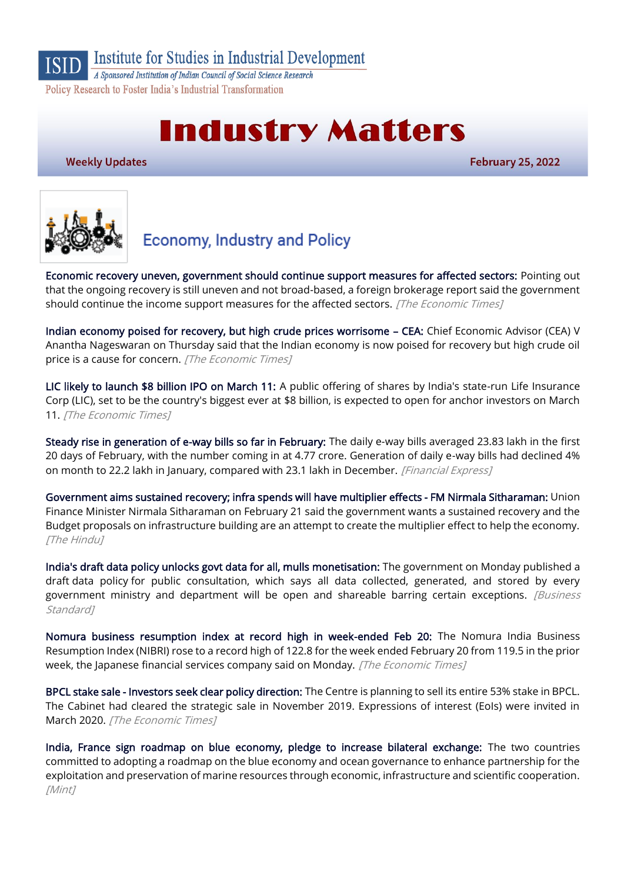#### Institute for Studies in Industrial Development **ISID**

A Sponsored Institution of Indian Council of Social Science Research Policy Research to Foster India's Industrial Transformation

# **Industry Matters**

**Weekly Updates** 

**February 25, 2022** 



## **Economy, Industry and Policy**

[Economic recovery uneven, government should continue support measures for affected sectors:](https://economictimes.indiatimes.com/news/economy/policy/economic-recovery-uneven-government-should-continue-support-measures-for-affected-sectors-report/articleshow/89804975.cms) Pointing out that the ongoing recovery is still uneven and not broad-based, a foreign brokerage report said the government should continue the income support measures for the affected sectors. [The Economic Times]

[Indian economy poised for recovery, but high crude prices worrisome](https://economictimes.indiatimes.com/news/economy/finance/indian-economy-poised-for-recovery-but-high-crude-prices-worrisome-cea/articleshow/89801976.cms) – CEA: Chief Economic Advisor (CEA) V Anantha Nageswaran on Thursday said that the Indian economy is now poised for recovery but high crude oil price is a cause for concern. [The Economic Times]

[LIC likely to launch \\$8 billion IPO on March 11:](https://economictimes.indiatimes.com/markets/ipos/fpos/lic-likely-to-launch-8-billion-ipo-on-march-11/articleshow/89661105.cms) A public offering of shares by India's state-run Life Insurance Corp (LIC), set to be the country's biggest ever at \$8 billion, is expected to open for anchor investors on March 11. [The Economic Times]

[Steady rise in generation of e-way bills so far in February:](https://www.financialexpress.com/economy/steady-rise-in-generation-of-e-way-bills-so-far-in-february/2440837/) The daily e-way bills averaged 23.83 lakh in the first 20 days of February, with the number coming in at 4.77 crore. Generation of daily e-way bills had declined 4% on month to 22.2 lakh in January, compared with 23.1 lakh in December. [Financial Express]

[Government aims sustained recovery; infra spends will have multiplier effects - FM Nirmala Sitharaman:](https://www.thehindu.com/business/government-aims-sustained-recovery-infra-spends-will-have-multiplier-effects-fm-nirmala-sitharaman/article65070357.ece) Union Finance Minister Nirmala Sitharaman on February 21 said the government wants a sustained recovery and the Budget proposals on infrastructure building are an attempt to create the multiplier effect to help the economy. **The Hindul** 

[India's draft data policy unlocks govt data for all, mulls monetisation:](https://www.business-standard.com/article/economy-policy/india-s-draft-data-policy-unlocks-govt-data-for-all-mulls-monetisation-122022100933_1.html) The government on Monday published a draft data policy for public consultation, which says all data collected, generated, and stored by every government ministry and department will be open and shareable barring certain exceptions. *[Business* Standard<sub>1</sub>

[Nomura business resumption index at record high in week-ended Feb 20:](https://economictimes.indiatimes.com/news/economy/indicators/nomura-business-resumption-index-at-record-high-in-week-ended-feb-20/articleshow/89727368.cms) The Nomura India Business Resumption Index (NIBRI) rose to a record high of 122.8 for the week ended February 20 from 119.5 in the prior week, the Japanese financial services company said on Monday. [The Economic Times]

[BPCL stake sale - Investors seek clear policy direction:](https://economictimes.indiatimes.com/news/economy/policy/bpcl-divestment-investors-seek-clear-policy-direction/articleshow/89757069.cms) The Centre is planning to sell its entire 53% stake in BPCL. The Cabinet had cleared the strategic sale in November 2019. Expressions of interest (EoIs) were invited in March 2020. [The Economic Times]

[India, France sign roadmap on blue economy, pledge to increase bilateral exchange:](https://www.livemint.com/news/world/india-france-sign-roadmap-on-blue-economy-pledge-to-increase-bilateral-exchange-11645456359357.html) The two countries committed to adopting a roadmap on the blue economy and ocean governance to enhance partnership for the exploitation and preservation of marine resources through economic, infrastructure and scientific cooperation. [Mint]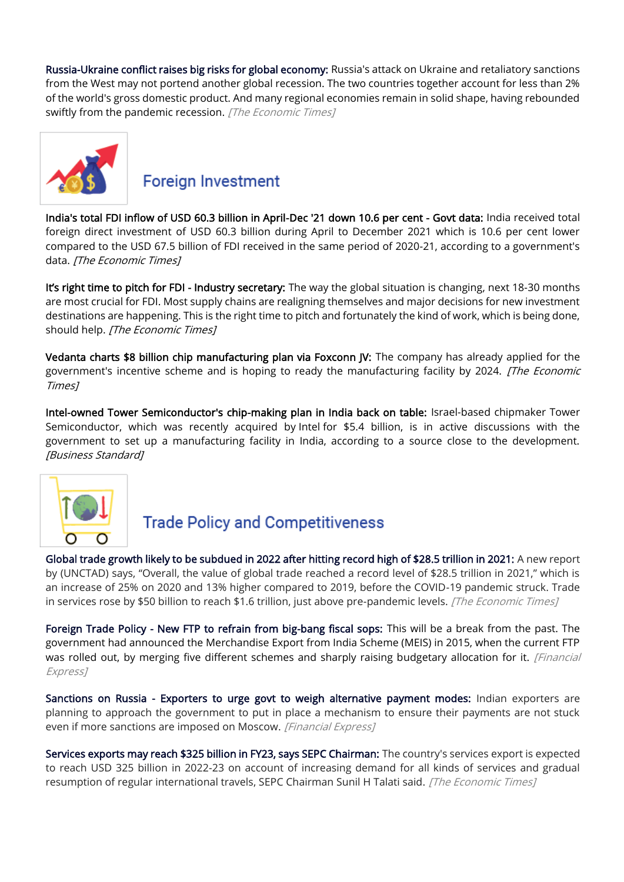[Russia-Ukraine conflict raises big risks for global economy:](https://economictimes.indiatimes.com/news/international/business/russia-ukraine-conflict-raises-big-risks-for-global-economy/articleshow/89799879.cms) Russia's attack on Ukraine and retaliatory sanctions from the West may not portend another global recession. The two countries together account for less than 2% of the world's gross domestic product. And many regional economies remain in solid shape, having rebounded swiftly from the pandemic recession. [The Economic Times]



#### **Foreign Investment**

[India's total FDI inflow of USD 60.3 billion in April-Dec '21 down 10.6 per cent - Govt data:](https://economictimes.indiatimes.com/news/economy/finance/indias-total-fdi-inflow-of-usd-60-3-billion-in-april-dec-21-down-10-6-per-cent-govt-data/articleshow/89809337.cms) India received total foreign direct investment of USD 60.3 billion during April to December 2021 which is 10.6 per cent lower compared to the USD 67.5 billion of FDI received in the same period of 2020-21, according to a government's data. [The Economic Times]

[It's right time to pitch for FDI](https://economictimes.indiatimes.com/news/economy/policy/its-right-time-to-pitch-for-fdi-industry-secretary/articleshow/89717091.cms) - Industry secretary: The way the global situation is changing, next 18-30 months are most crucial for FDI. Most supply chains are realigning themselves and major decisions for new investment destinations are happening. This is the right time to pitch and fortunately the kind of work, which is being done, should help. [The Economic Times]

[Vedanta charts \\$8 billion chip manufacturing plan via Foxconn JV:](https://economictimes.indiatimes.com/industry/cons-products/electronics/vedanta-charts-8-billion-chip-manufacturing-plan-via-foxconn-jv/articleshow/89672585.cms) The company has already applied for the government's incentive scheme and is hoping to ready the manufacturing facility by 2024. [The Economic Times]

[Intel-owned Tower Semiconductor's chip-making plan in India back on table:](https://www.business-standard.com/article/companies/intel-owned-tower-semiconductor-s-chip-making-plan-in-india-back-on-table-122021800154_1.html) Israel-based chipmaker Tower Semiconductor, which was recently acquired by Intel for \$5.4 billion, is in active discussions with the government to set up a manufacturing facility in India, according to a source close to the development. [Business Standard]



## **Trade Policy and Competitiveness**

[Global trade growth likely to be subdued in 2022 after hitting record high of \\$28.5 trillion in 2021:](https://economictimes.indiatimes.com/small-biz/trade/exports/insights/global-trade-growth-likely-to-be-subdued-in-2022-after-hitting-record-high-of-28-5-trillion-in-2021/articleshow/89715595.cms) A new report by (UNCTAD) says, "Overall, the value of global trade reached a record level of \$28.5 trillion in 2021," which is an increase of 25% on 2020 and 13% higher compared to 2019, before the COVID-19 pandemic struck. Trade in services rose by \$50 billion to reach \$1.6 trillion, just above pre-pandemic levels. [The Economic Times]

[Foreign Trade Policy - New FTP to refrain from big-bang fiscal sops:](https://www.financialexpress.com/economy/foreign-trade-policy-new-ftp-to-refrain-from-big-bang-fiscal-sops/2437438/) This will be a break from the past. The government had announced the Merchandise Export from India Scheme (MEIS) in 2015, when the current FTP was rolled out, by merging five different schemes and sharply raising budgetary allocation for it. [Financial Express]

[Sanctions on Russia - Exporters to urge govt to weigh alternative payment modes:](https://www.financialexpress.com/economy/sanctions-on-russia-exporters-to-urge-govt-to-weigh-alternative-payment-modes/2443170/) Indian exporters are planning to approach the government to put in place a mechanism to ensure their payments are not stuck even if more sanctions are imposed on Moscow. [Financial Express]

[Services exports may reach \\$325 billion in FY23, says SEPC Chairman:](https://economictimes.indiatimes.com/small-biz/trade/exports/insights/services-exports-may-reach-325-billion-in-fy23-says-sepc-chairman/articleshow/89714599.cms) The country's services export is expected to reach USD 325 billion in 2022-23 on account of increasing demand for all kinds of services and gradual resumption of regular international travels, SEPC Chairman Sunil H Talati said. [The Economic Times]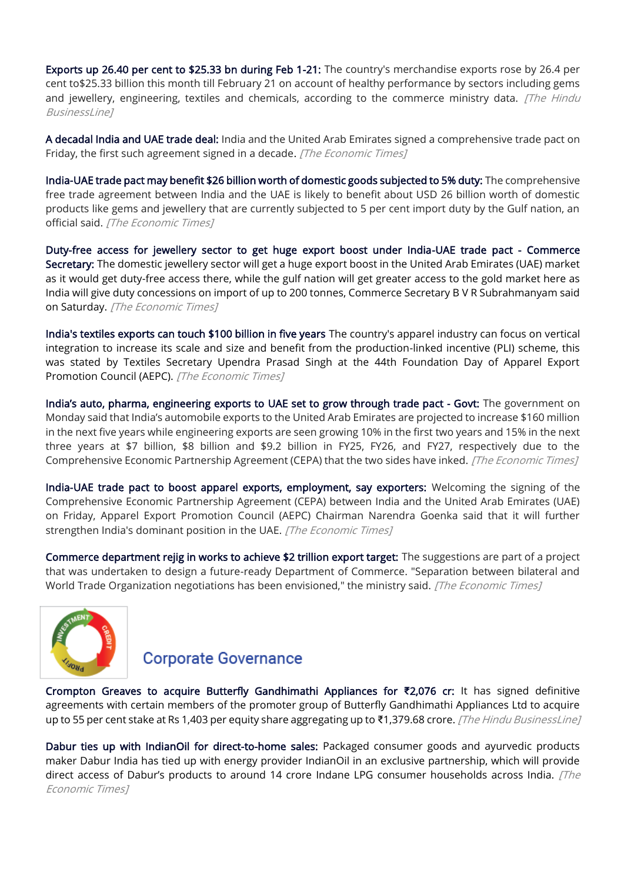[Exports up 26.40 per cent to \\$25.33 bn during Feb 1-21:](https://www.thehindubusinessline.com/economy/exports-up-2640-per-cent-to-2533-bn-during-feb-1-21/article65074137.ece) The country's merchandise exports rose by 26.4 per cent to\$25.33 billion this month till February 21 on account of healthy performance by sectors including gems and jewellery, engineering, textiles and chemicals, according to the commerce ministry data. *[The Hindu* BusinessLine]

[A decadal India and UAE trade deal:](https://economictimes.indiatimes.com/news/economy/foreign-trade/a-decadal-india-and-uae-trade-deal/articleshow/89673327.cms) India and the United Arab Emirates signed a comprehensive trade pact on Friday, the first such agreement signed in a decade. [The Economic Times]

[India-UAE trade pact may benefit \\$26 billion worth of domestic goods subjected to 5% duty:](https://economictimes.indiatimes.com/news/economy/foreign-trade/india-uae-trade-pact-may-benefit-26-billion-worth-of-domestic-goods-subjected-to-5-duty/articleshow/89701370.cms) The comprehensive free trade agreement between India and the UAE is likely to benefit about USD 26 billion worth of domestic products like gems and jewellery that are currently subjected to 5 per cent import duty by the Gulf nation, an official said. [The Economic Times]

[Duty-free access for jewellery sector to get huge export boost under India-UAE trade pact - Commerce](https://economictimes.indiatimes.com/industry/cons-products/fashion-/-cosmetics-/-jewellery/duty-free-access-for-jewellery-sector-to-get-huge-export-boost-under-india-uae-trade-pact-commerce-secretary/articleshow/89684434.cms)  [Secretary:](https://economictimes.indiatimes.com/industry/cons-products/fashion-/-cosmetics-/-jewellery/duty-free-access-for-jewellery-sector-to-get-huge-export-boost-under-india-uae-trade-pact-commerce-secretary/articleshow/89684434.cms) The domestic jewellery sector will get a huge export boost in the United Arab Emirates (UAE) market as it would get duty-free access there, while the gulf nation will get greater access to the gold market here as India will give duty concessions on import of up to 200 tonnes, Commerce Secretary B V R Subrahmanyam said on Saturday. [The Economic Times]

[India's textiles exports can touch \\$100 billion in five years](https://economictimes.indiatimes.com/small-biz/sme-sector/apparel-industry-should-go-for-backward-integration-textiles-secretary/articleshow/89763680.cms) The country's apparel industry can focus on vertical integration to increase its scale and size and benefit from the production-linked incentive (PLI) scheme, this was stated by Textiles Secretary Upendra Prasad Singh at the 44th Foundation Day of Apparel Export Promotion Council (AEPC). [The Economic Times]

[India's auto, pharma, engineering exports to](https://economictimes.indiatimes.com/news/economy/foreign-trade/indias-auto-pharma-engineering-exports-to-uae-set-to-grow-through-trade-pact-govt/articleshow/89727097.cms) UAE set to grow through trade pact - Govt: The government on Monday said that India's automobile exports to the United Arab Emirates are projected to increase \$160 million in the next five years while engineering exports are seen growing 10% in the first two years and 15% in the next three years at \$7 billion, \$8 billion and \$9.2 billion in FY25, FY26, and FY27, respectively due to the Comprehensive Economic Partnership Agreement (CEPA) that the two sides have inked. [The Economic Times]

[India-UAE trade pact to boost apparel exports, employment, say exporters:](https://economictimes.indiatimes.com/news/economy/foreign-trade/india-uae-trade-pact-to-boost-apparel-exports-employment-say-exporters/articleshow/89684334.cms) Welcoming the signing of the Comprehensive Economic Partnership Agreement (CEPA) between India and the United Arab Emirates (UAE) on Friday, Apparel Export Promotion Council (AEPC) Chairman Narendra Goenka said that it will further strengthen India's dominant position in the UAE. [The Economic Times]

[Commerce department rejig in works to achieve \\$2 trillion export target:](https://economictimes.indiatimes.com/news/economy/foreign-trade/commerce-department-rejig-in-works-to-achieve-2-trillion-export-target/articleshow/89709651.cms) The suggestions are part of a project that was undertaken to design a future-ready Department of Commerce. "Separation between bilateral and World Trade Organization negotiations has been envisioned," the ministry said. [The Economic Times]



#### **Corporate Governance**

[Crompton Greaves to acquire Butterfly Gandhimathi Appliances for](https://www.thehindubusinessline.com/companies/crompton-greaves-to-acquire-butterfly-gandhimathi-appliances-for-2076-cr/article65076269.ece) **₹**2,076 cr: It has signed definitive agreements with certain members of the promoter group of Butterfly Gandhimathi Appliances Ltd to acquire up to 55 per cent stake at Rs 1,403 per equity share aggregating up to ₹1,379.68 crore. [The Hindu BusinessLine]

[Dabur ties up with IndianOil for direct-to-home sales:](https://economictimes.indiatimes.com/industry/cons-products/fmcg/dabur-ties-up-with-indianoil-for-direct-to-home-sales/articleshow/89768932.cms) Packaged consumer goods and ayurvedic products maker Dabur India has tied up with energy provider IndianOil in an exclusive partnership, which will provide direct access of Dabur's products to around 14 crore Indane LPG consumer households across India.  $\sqrt{The}$ Economic Times]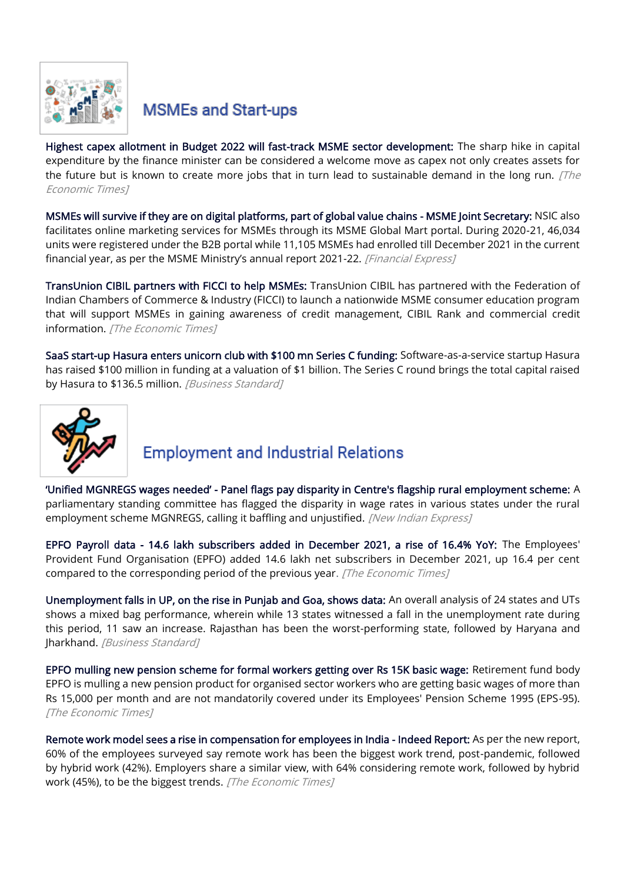

## **MSMEs and Start-ups**

[Highest capex allotment in Budget 2022 will fast-track MSME sector development:](https://economictimes.indiatimes.com/small-biz/sme-sector/highest-capex-allotment-in-budget-2022-will-fast-track-msme-sector-development/articleshow/89715252.cms) The sharp hike in capital expenditure by the finance minister can be considered a welcome move as capex not only creates assets for the future but is known to create more jobs that in turn lead to sustainable demand in the long run.  $[The]$ Economic Times]

[MSMEs will survive if they are on digital platforms, part of global value chains - MSME Joint Secretary:](https://www.financialexpress.com/industry/sme/msme-eodb-msmes-will-survive-if-they-are-on-digital-platforms-part-of-global-value-chains-msme-joint-secretary/2444208/) NSIC also facilitates online marketing services for MSMEs through its MSME Global Mart portal. During 2020-21, 46,034 units were registered under the B2B portal while 11,105 MSMEs had enrolled till December 2021 in the current financial year, as per the MSME Ministry's annual report 2021-22. [Financial Express]

[TransUnion CIBIL partners with FICCI to help MSMEs:](https://economictimes.indiatimes.com/small-biz/sme-sector/transunion-cibil-partners-with-ficci-to-help-msmes/articleshow/89659899.cms) TransUnion CIBIL has partnered with the Federation of Indian Chambers of Commerce & Industry (FICCI) to launch a nationwide MSME consumer education program that will support MSMEs in gaining awareness of credit management, CIBIL Rank and commercial credit information. [The Economic Times]

[SaaS start-up Hasura enters unicorn club with \\$100 mn Series C funding:](https://www.business-standard.com/article/companies/saas-start-up-hasura-enters-unicorn-club-with-100-mn-series-c-funding-122022201209_1.html) Software-as-a-service startup Hasura has raised \$100 million in funding at a valuation of \$1 billion. The Series C round brings the total capital raised by Hasura to \$136.5 million. [Business Standard]



## **Employment and Industrial Relations**

'Unified MGNREGS wages needed' [- Panel flags pay disparity in Centre's flagship rural employment scheme:](https://www.newindianexpress.com/nation/2022/feb/21/unified-mgnregs-wages-needed-panel-flags-pay-disparity-in-centres-flagshiprural-employment-scheme-2421941.html) A parliamentary standing committee has flagged the disparity in wage rates in various states under the rural employment scheme MGNREGS, calling it baffling and unjustified. [New Indian Express]

[EPFO Payroll data - 14.6 lakh subscribers added in December 2021, a rise of 16.4% YoY:](https://economictimes.indiatimes.com/news/economy/finance/epfo-payroll-data-14-6-lakh-subscribers-added-in-december-2021-a-rise-of-16-4-yoy/videoshow/89723628.cms) The Employees' Provident Fund Organisation (EPFO) added 14.6 lakh net subscribers in December 2021, up 16.4 per cent compared to the corresponding period of the previous year. [The Economic Times]

[Unemployment falls in UP, on the rise in Punjab and Goa, shows data:](https://www.business-standard.com/article/economy-policy/unemployment-falls-in-up-on-the-rise-in-punjab-and-goa-shows-data-122021801306_1.html) An overall analysis of 24 states and UTs shows a mixed bag performance, wherein while 13 states witnessed a fall in the unemployment rate during this period, 11 saw an increase. Rajasthan has been the worst-performing state, followed by Haryana and Jharkhand. [Business Standard]

[EPFO mulling new pension scheme for formal workers getting over Rs 15K basic wage:](https://economictimes.indiatimes.com/news/economy/finance/epfo-mulling-new-pension-scheme-for-formal-workers-getting-over-rs-15k-basic-wage/articleshow/89700166.cms) Retirement fund body EPFO is mulling a new pension product for organised sector workers who are getting basic wages of more than Rs 15,000 per month and are not mandatorily covered under its Employees' Pension Scheme 1995 (EPS-95). [The Economic Times]

[Remote work model sees a rise in compensation for employees in India - Indeed Report:](https://economictimes.indiatimes.com/jobs/remote-work-model-sees-a-rise-in-compensation-for-employees-in-india-indeed-report/articleshow/89793237.cms) As per the new report, 60% of the employees surveyed say remote work has been the biggest work trend, post-pandemic, followed by hybrid work (42%). Employers share a similar view, with 64% considering remote work, followed by hybrid work (45%), to be the biggest trends. [The Economic Times]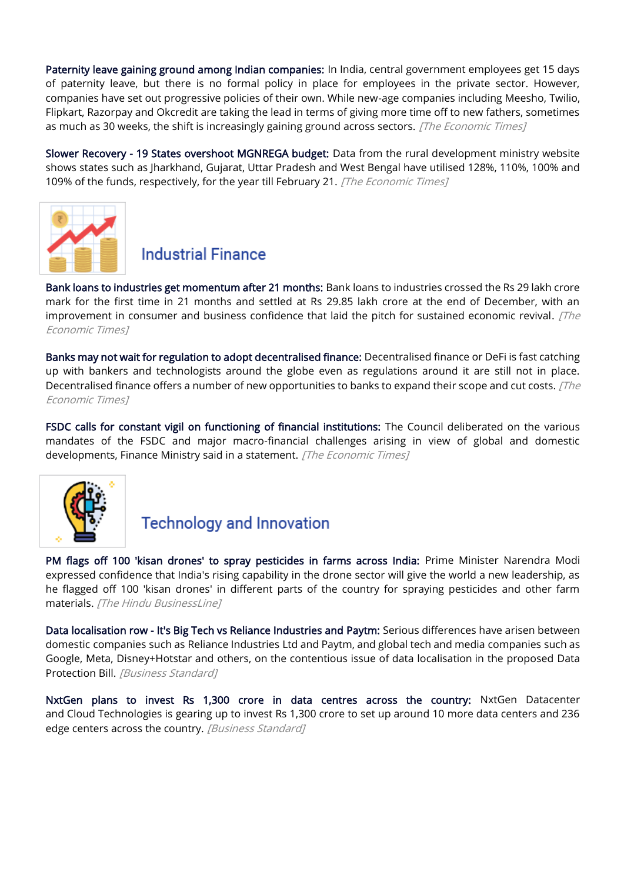[Paternity leave gaining ground among Indian companies:](https://economictimes.indiatimes.com/news/company/corporate-trends/paternity-leave-gaining-ground-among-indian-companies/articleshow/89669213.cms) In India, central government employees get 15 days of paternity leave, but there is no formal policy in place for employees in the private sector. However, companies have set out progressive policies of their own. While new-age companies including Meesho, Twilio, Flipkart, Razorpay and Okcredit are taking the lead in terms of giving more time off to new fathers, sometimes as much as 30 weeks, the shift is increasingly gaining ground across sectors. [The Economic Times]

[Slower Recovery - 19 States overshoot MGNREGA budget:](https://economictimes.indiatimes.com/news/economy/policy/slower-recovery-19-states-overshoot-mgnrega-budget/articleshow/89757615.cms) Data from the rural development ministry website shows states such as Jharkhand, Gujarat, Uttar Pradesh and West Bengal have utilised 128%, 110%, 100% and 109% of the funds, respectively, for the year till February 21. [The Economic Times]



#### **Industrial Finance**

[Bank loans to industries get momentum after 21 months:](https://economictimes.indiatimes.com/industry/banking/finance/banking/bank-loans-to-industries-gets-momentum-after-21-months/articleshow/89644675.cms) Bank loans to industries crossed the Rs 29 lakh crore mark for the first time in 21 months and settled at Rs 29.85 lakh crore at the end of December, with an improvement in consumer and business confidence that laid the pitch for sustained economic revival.  $\int \hat{f}$ Economic Times]

[Banks may not wait for regulation to adopt decentralised finance:](https://economictimes.indiatimes.com/industry/banking/finance/banking/banks-may-not-wait-for-regulation-to-adopt-decentralised-finance/articleshow/89740097.cms) Decentralised finance or DeFi is fast catching up with bankers and technologists around the globe even as regulations around it are still not in place. Decentralised finance offers a number of new opportunities to banks to expand their scope and cut costs. [The Economic Times]

[FSDC calls for constant vigil on functioning of financial institutions:](https://economictimes.indiatimes.com/news/economy/finance/fsdc-calls-for-constant-vigil-on-functioning-of-financial-institutions/articleshow/89752093.cms) The Council deliberated on the various mandates of the FSDC and major macro-financial challenges arising in view of global and domestic developments, Finance Ministry said in a statement. [The Economic Times]



## **Technology and Innovation**

[PM flags off 100 'kisan drones' to spray pesticides in farms across India:](https://www.thehindubusinessline.com/economy/agri-business/pm-flags-off-100-kisan-drones-to-spray-pesticides-in-farms-across-india/article65064847.ece) Prime Minister Narendra Modi expressed confidence that India's rising capability in the drone sector will give the world a new leadership, as he flagged off 100 'kisan drones' in different parts of the country for spraying pesticides and other farm materials. [The Hindu BusinessLine]

[Data localisation row - It's Big Tech vs Reliance Industries and Paytm:](https://www.business-standard.com/article/companies/big-tech-vs-reliance-industries-paytm-in-data-localisation-row-122021701517_1.html) Serious differences have arisen between domestic companies such as Reliance Industries Ltd and Paytm, and global tech and media companies such as Google, Meta, Disney+Hotstar and others, on the contentious issue of data localisation in the proposed Data Protection Bill. [Business Standard]

[NxtGen plans to invest Rs 1,300 crore in data centres across the country:](https://www.business-standard.com/article/companies/nxtgen-plans-to-invest-rs-1-300-crore-in-data-centres-across-the-country-122022100021_1.html) NxtGen Datacenter and Cloud Technologies is gearing up to invest Rs 1,300 crore to set up around 10 more data centers and 236 edge centers across the country. [Business Standard]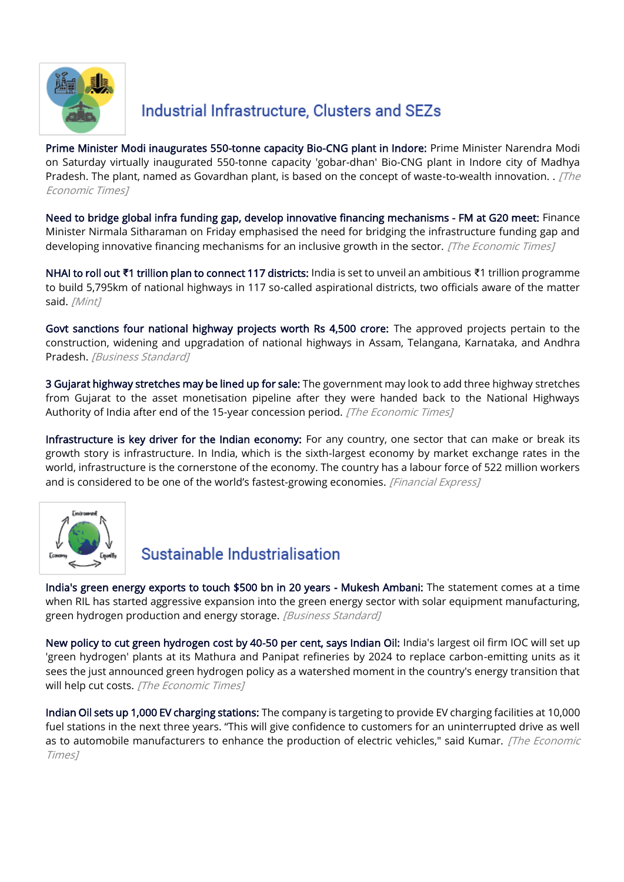

## Industrial Infrastructure, Clusters and SEZs

[Prime Minister Modi inaugurates 550-tonne capacity Bio-CNG plant in Indore:](https://economictimes.indiatimes.com/industry/renewables/prime-minister-modi-inaugurates-550-tonne-capacity-bio-cng-plant-in-indore/articleshow/89683971.cms) Prime Minister Narendra Modi on Saturday virtually inaugurated 550-tonne capacity 'gobar-dhan' Bio-CNG plant in Indore city of Madhya Pradesh. The plant, named as Govardhan plant, is based on the concept of waste-to-wealth innovation. . [The Economic Times]

[Need to bridge global infra funding gap, develop innovative financing mechanisms - FM at G20 meet:](https://economictimes.indiatimes.com/news/economy/infrastructure/need-to-bridge-global-infra-funding-gap-develop-innovative-financing-mechanisms-fm-at-g20-meet/articleshow/89661811.cms) Finance Minister Nirmala Sitharaman on Friday emphasised the need for bridging the infrastructure funding gap and developing innovative financing mechanisms for an inclusive growth in the sector. [The Economic Times]

NHAI to roll out **₹**[1 trillion plan to connect 117 districts:](https://www.livemint.com/news/india/nhai-to-roll-out-1-trillion-plan-to-connect-117-districts-11645385373988.html) India is set to unveil an ambitious ₹1 trillion programme to build 5,795km of national highways in 117 so-called aspirational districts, two officials aware of the matter said. [Mint]

[Govt sanctions four national highway projects worth Rs 4,500 crore:](https://www.business-standard.com/article/economy-policy/govt-sanctions-four-national-highway-projects-worth-rs-4-500-crore-122022200698_1.html) The approved projects pertain to the construction, widening and upgradation of national highways in Assam, Telangana, Karnataka, and Andhra Pradesh. [Business Standard]

[3 Gujarat highway stretches may be lined up for sale:](https://economictimes.indiatimes.com/news/economy/infrastructure/3-gujarat-highway-stretches-may-be-lined-up-for-sale/articleshow/89717725.cms) The government may look to add three highway stretches from Gujarat to the asset monetisation pipeline after they were handed back to the National Highways Authority of India after end of the 15-year concession period. [The Economic Times]

[Infrastructure is key driver for the Indian economy:](https://www.financialexpress.com/infrastructure/infrastructure-is-key-driver-for-the-indian-economy/2443542/) For any country, one sector that can make or break its growth story is infrastructure. In India, which is the sixth-largest economy by market exchange rates in the world, infrastructure is the cornerstone of the economy. The country has a labour force of 522 million workers and is considered to be one of the world's fastest-growing economies. [Financial Express]



## Sustainable Industrialisation

[India's green energy exports to touch \\$500 bn in 20 years - Mukesh Ambani:](https://www.business-standard.com/article/companies/india-s-green-energy-exports-to-touch-500-bn-in-20-years-mukesh-ambani-122022301198_1.html) The statement comes at a time when RIL has started aggressive expansion into the green energy sector with solar equipment manufacturing, green hydrogen production and energy storage. [Business Standard]

[New policy to cut green hydrogen cost by 40-50 per cent, says Indian Oil:](https://economictimes.indiatimes.com/industry/renewables/new-policy-to-cut-green-hydrogen-cost-by-40-50-per-cent-says-indian-oil/articleshow/89699187.cms) India's largest oil firm IOC will set up 'green hydrogen' plants at its Mathura and Panipat refineries by 2024 to replace carbon-emitting units as it sees the just announced green hydrogen policy as a watershed moment in the country's energy transition that will help cut costs. [The Economic Times]

[Indian Oil sets up 1,000 EV charging stations:](https://economictimes.indiatimes.com/industry/renewables/indian-oil-sets-up-1000-ev-charging-stations/articleshow/89668540.cms) The company is targeting to provide EV charging facilities at 10,000 fuel stations in the next three years. "This will give confidence to customers for an uninterrupted drive as well as to automobile manufacturers to enhance the production of electric vehicles," said Kumar. [The Economic Times]